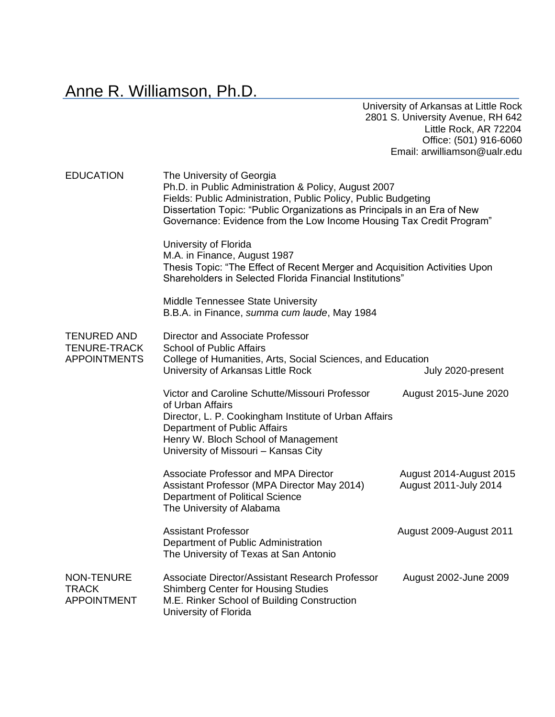Anne R. Williamson, Ph.D.

University of Arkansas at Little Rock 2801 S. University Avenue, RH 642 Little Rock, AR 72204 Office: (501) 916-6060 Email: arwilliamson@ualr.edu

| <b>EDUCATION</b>                                                 | The University of Georgia<br>Ph.D. in Public Administration & Policy, August 2007<br>Fields: Public Administration, Public Policy, Public Budgeting<br>Dissertation Topic: "Public Organizations as Principals in an Era of New<br>Governance: Evidence from the Low Income Housing Tax Credit Program" |                                                  |
|------------------------------------------------------------------|---------------------------------------------------------------------------------------------------------------------------------------------------------------------------------------------------------------------------------------------------------------------------------------------------------|--------------------------------------------------|
|                                                                  | University of Florida<br>M.A. in Finance, August 1987<br>Thesis Topic: "The Effect of Recent Merger and Acquisition Activities Upon<br>Shareholders in Selected Florida Financial Institutions"                                                                                                         |                                                  |
|                                                                  | <b>Middle Tennessee State University</b><br>B.B.A. in Finance, summa cum laude, May 1984                                                                                                                                                                                                                |                                                  |
| <b>TENURED AND</b><br><b>TENURE-TRACK</b><br><b>APPOINTMENTS</b> | Director and Associate Professor<br><b>School of Public Affairs</b><br>College of Humanities, Arts, Social Sciences, and Education<br>University of Arkansas Little Rock                                                                                                                                | July 2020-present                                |
|                                                                  | Victor and Caroline Schutte/Missouri Professor<br>of Urban Affairs<br>Director, L. P. Cookingham Institute of Urban Affairs<br>Department of Public Affairs<br>Henry W. Bloch School of Management<br>University of Missouri - Kansas City                                                              | August 2015-June 2020                            |
|                                                                  | <b>Associate Professor and MPA Director</b><br>Assistant Professor (MPA Director May 2014)<br>Department of Political Science<br>The University of Alabama                                                                                                                                              | August 2014-August 2015<br>August 2011-July 2014 |
|                                                                  | <b>Assistant Professor</b><br>Department of Public Administration<br>The University of Texas at San Antonio                                                                                                                                                                                             | August 2009-August 2011                          |
| <b>NON-TENURE</b><br><b>TRACK</b><br><b>APPOINTMENT</b>          | Associate Director/Assistant Research Professor<br><b>Shimberg Center for Housing Studies</b><br>M.E. Rinker School of Building Construction<br>University of Florida                                                                                                                                   | August 2002-June 2009                            |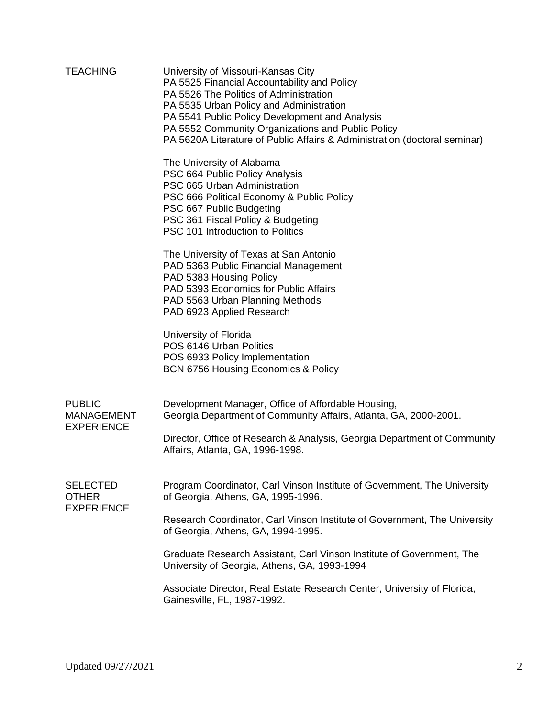| <b>TEACHING</b>                                         | University of Missouri-Kansas City<br>PA 5525 Financial Accountability and Policy<br>PA 5526 The Politics of Administration<br>PA 5535 Urban Policy and Administration<br>PA 5541 Public Policy Development and Analysis<br>PA 5552 Community Organizations and Public Policy<br>PA 5620A Literature of Public Affairs & Administration (doctoral seminar) |
|---------------------------------------------------------|------------------------------------------------------------------------------------------------------------------------------------------------------------------------------------------------------------------------------------------------------------------------------------------------------------------------------------------------------------|
|                                                         | The University of Alabama<br>PSC 664 Public Policy Analysis<br>PSC 665 Urban Administration<br>PSC 666 Political Economy & Public Policy<br>PSC 667 Public Budgeting<br>PSC 361 Fiscal Policy & Budgeting<br>PSC 101 Introduction to Politics                                                                                                              |
|                                                         | The University of Texas at San Antonio<br>PAD 5363 Public Financial Management<br>PAD 5383 Housing Policy<br>PAD 5393 Economics for Public Affairs<br>PAD 5563 Urban Planning Methods<br>PAD 6923 Applied Research                                                                                                                                         |
|                                                         | University of Florida<br>POS 6146 Urban Politics<br>POS 6933 Policy Implementation<br>BCN 6756 Housing Economics & Policy                                                                                                                                                                                                                                  |
| <b>PUBLIC</b><br><b>MANAGEMENT</b><br><b>EXPERIENCE</b> | Development Manager, Office of Affordable Housing,<br>Georgia Department of Community Affairs, Atlanta, GA, 2000-2001.                                                                                                                                                                                                                                     |
|                                                         | Director, Office of Research & Analysis, Georgia Department of Community<br>Affairs, Atlanta, GA, 1996-1998.                                                                                                                                                                                                                                               |
| <b>SELECTED</b><br><b>OTHER</b><br><b>EXPERIENCE</b>    | Program Coordinator, Carl Vinson Institute of Government, The University<br>of Georgia, Athens, GA, 1995-1996.                                                                                                                                                                                                                                             |
|                                                         | Research Coordinator, Carl Vinson Institute of Government, The University<br>of Georgia, Athens, GA, 1994-1995.                                                                                                                                                                                                                                            |
|                                                         | Graduate Research Assistant, Carl Vinson Institute of Government, The<br>University of Georgia, Athens, GA, 1993-1994                                                                                                                                                                                                                                      |
|                                                         | Associate Director, Real Estate Research Center, University of Florida,<br>Gainesville, FL, 1987-1992.                                                                                                                                                                                                                                                     |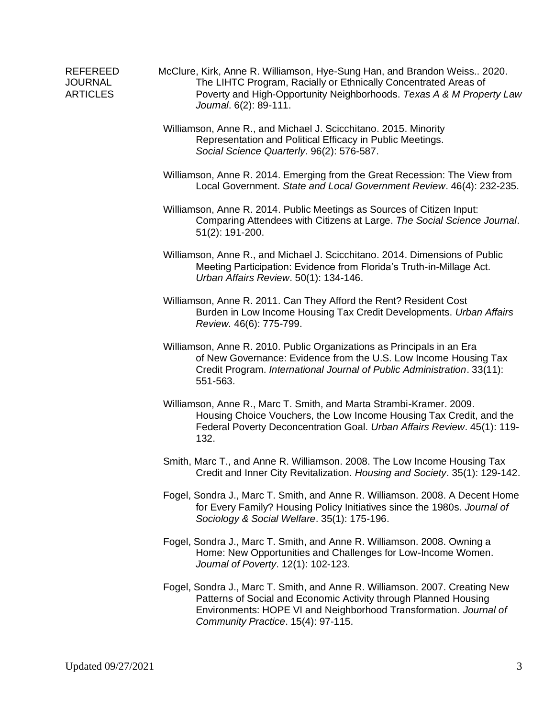- REFEREED McClure, Kirk, Anne R. Williamson, Hye-Sung Han, and Brandon Weiss.. 2020. JOURNAL The LIHTC Program, Racially or Ethnically Concentrated Areas of ARTICLES Poverty and High-Opportunity Neighborhoods. *Texas A & M Property Law Journal*. 6(2): 89-111.
	- Williamson, Anne R., and Michael J. Scicchitano. 2015. Minority Representation and Political Efficacy in Public Meetings. *Social Science Quarterly*. 96(2): 576-587.
	- Williamson, Anne R. 2014. Emerging from the Great Recession: The View from Local Government. *State and Local Government Review*. 46(4): 232-235.
	- Williamson, Anne R. 2014. Public Meetings as Sources of Citizen Input: Comparing Attendees with Citizens at Large. *The Social Science Journal*. 51(2): 191-200.
	- Williamson, Anne R., and Michael J. Scicchitano. 2014. Dimensions of Public Meeting Participation: Evidence from Florida's Truth-in-Millage Act. *Urban Affairs Review*. 50(1): 134-146.
	- Williamson, Anne R. 2011. Can They Afford the Rent? Resident Cost Burden in Low Income Housing Tax Credit Developments. *Urban Affairs Review.* 46(6): 775-799.
	- Williamson, Anne R. 2010. Public Organizations as Principals in an Era of New Governance: Evidence from the U.S. Low Income Housing Tax Credit Program. *International Journal of Public Administration*. 33(11): 551-563.
	- Williamson, Anne R., Marc T. Smith, and Marta Strambi-Kramer. 2009. Housing Choice Vouchers, the Low Income Housing Tax Credit, and the Federal Poverty Deconcentration Goal. *Urban Affairs Review*. 45(1): 119- 132.
	- Smith, Marc T., and Anne R. Williamson. 2008. The Low Income Housing Tax Credit and Inner City Revitalization. *Housing and Society*. 35(1): 129-142.
	- Fogel, Sondra J., Marc T. Smith, and Anne R. Williamson. 2008. A Decent Home for Every Family? Housing Policy Initiatives since the 1980s. *Journal of Sociology & Social Welfare*. 35(1): 175-196.
	- Fogel, Sondra J., Marc T. Smith, and Anne R. Williamson. 2008. Owning a Home: New Opportunities and Challenges for Low-Income Women. *Journal of Poverty*. 12(1): 102-123.
	- Fogel, Sondra J., Marc T. Smith, and Anne R. Williamson. 2007. Creating New Patterns of Social and Economic Activity through Planned Housing Environments: HOPE VI and Neighborhood Transformation. *Journal of Community Practice*. 15(4): 97-115.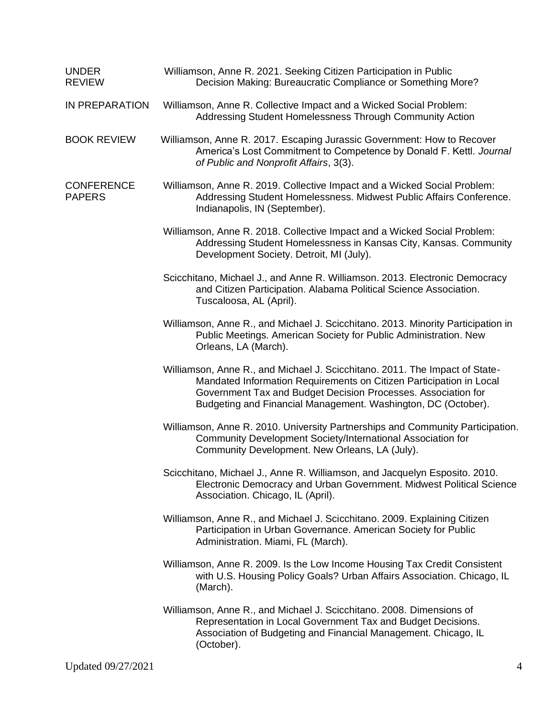| <b>UNDER</b><br><b>REVIEW</b>      | Williamson, Anne R. 2021. Seeking Citizen Participation in Public<br>Decision Making: Bureaucratic Compliance or Something More?                                                                                                                                                     |  |
|------------------------------------|--------------------------------------------------------------------------------------------------------------------------------------------------------------------------------------------------------------------------------------------------------------------------------------|--|
| IN PREPARATION                     | Williamson, Anne R. Collective Impact and a Wicked Social Problem:<br>Addressing Student Homelessness Through Community Action                                                                                                                                                       |  |
| <b>BOOK REVIEW</b>                 | Williamson, Anne R. 2017. Escaping Jurassic Government: How to Recover<br>America's Lost Commitment to Competence by Donald F. Kettl. Journal<br>of Public and Nonprofit Affairs, 3(3).                                                                                              |  |
| <b>CONFERENCE</b><br><b>PAPERS</b> | Williamson, Anne R. 2019. Collective Impact and a Wicked Social Problem:<br>Addressing Student Homelessness. Midwest Public Affairs Conference.<br>Indianapolis, IN (September).                                                                                                     |  |
|                                    | Williamson, Anne R. 2018. Collective Impact and a Wicked Social Problem:<br>Addressing Student Homelessness in Kansas City, Kansas. Community<br>Development Society. Detroit, MI (July).                                                                                            |  |
|                                    | Scicchitano, Michael J., and Anne R. Williamson. 2013. Electronic Democracy<br>and Citizen Participation. Alabama Political Science Association.<br>Tuscaloosa, AL (April).                                                                                                          |  |
|                                    | Williamson, Anne R., and Michael J. Scicchitano. 2013. Minority Participation in<br>Public Meetings. American Society for Public Administration. New<br>Orleans, LA (March).                                                                                                         |  |
|                                    | Williamson, Anne R., and Michael J. Scicchitano. 2011. The Impact of State-<br>Mandated Information Requirements on Citizen Participation in Local<br>Government Tax and Budget Decision Processes. Association for<br>Budgeting and Financial Management. Washington, DC (October). |  |
|                                    | Williamson, Anne R. 2010. University Partnerships and Community Participation.<br>Community Development Society/International Association for<br>Community Development. New Orleans, LA (July).                                                                                      |  |
|                                    | Scicchitano, Michael J., Anne R. Williamson, and Jacquelyn Esposito. 2010.<br>Electronic Democracy and Urban Government. Midwest Political Science<br>Association. Chicago, IL (April).                                                                                              |  |
|                                    | Williamson, Anne R., and Michael J. Scicchitano. 2009. Explaining Citizen<br>Participation in Urban Governance. American Society for Public<br>Administration. Miami, FL (March).                                                                                                    |  |
|                                    | Williamson, Anne R. 2009. Is the Low Income Housing Tax Credit Consistent<br>with U.S. Housing Policy Goals? Urban Affairs Association. Chicago, IL<br>(March).                                                                                                                      |  |
|                                    | Williamson, Anne R., and Michael J. Scicchitano. 2008. Dimensions of<br>Representation in Local Government Tax and Budget Decisions.<br>Association of Budgeting and Financial Management. Chicago, IL<br>(October).                                                                 |  |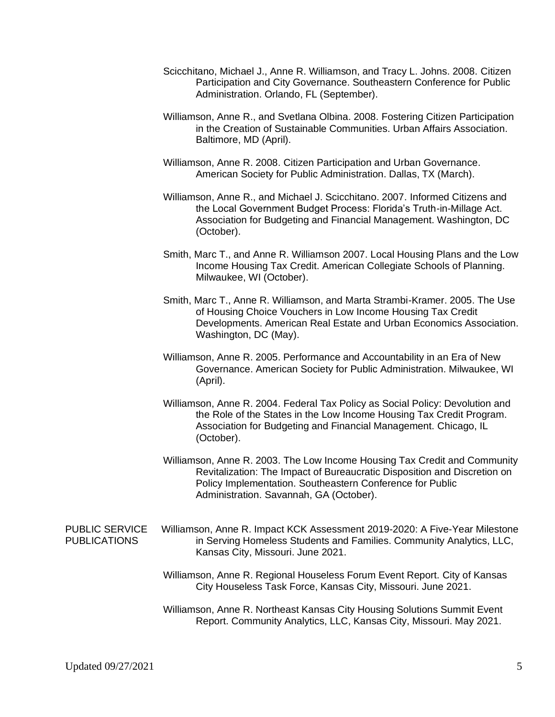- Scicchitano, Michael J., Anne R. Williamson, and Tracy L. Johns. 2008. Citizen Participation and City Governance. Southeastern Conference for Public Administration. Orlando, FL (September).
- Williamson, Anne R., and Svetlana Olbina. 2008. Fostering Citizen Participation in the Creation of Sustainable Communities. Urban Affairs Association. Baltimore, MD (April).
- Williamson, Anne R. 2008. Citizen Participation and Urban Governance. American Society for Public Administration. Dallas, TX (March).
- Williamson, Anne R., and Michael J. Scicchitano. 2007. Informed Citizens and the Local Government Budget Process: Florida's Truth-in-Millage Act. Association for Budgeting and Financial Management. Washington, DC (October).
- Smith, Marc T., and Anne R. Williamson 2007. Local Housing Plans and the Low Income Housing Tax Credit. American Collegiate Schools of Planning. Milwaukee, WI (October).
- Smith, Marc T., Anne R. Williamson, and Marta Strambi-Kramer. 2005. The Use of Housing Choice Vouchers in Low Income Housing Tax Credit Developments. American Real Estate and Urban Economics Association. Washington, DC (May).
- Williamson, Anne R. 2005. Performance and Accountability in an Era of New Governance. American Society for Public Administration. Milwaukee, WI (April).
- Williamson, Anne R. 2004. Federal Tax Policy as Social Policy: Devolution and the Role of the States in the Low Income Housing Tax Credit Program. Association for Budgeting and Financial Management. Chicago, IL (October).
- Williamson, Anne R. 2003. The Low Income Housing Tax Credit and Community Revitalization: The Impact of Bureaucratic Disposition and Discretion on Policy Implementation. Southeastern Conference for Public Administration. Savannah, GA (October).
- PUBLIC SERVICE Williamson, Anne R. Impact KCK Assessment 2019-2020: A Five-Year Milestone PUBLICATIONS in Serving Homeless Students and Families. Community Analytics, LLC, Kansas City, Missouri. June 2021.
	- Williamson, Anne R. Regional Houseless Forum Event Report. City of Kansas City Houseless Task Force, Kansas City, Missouri. June 2021.
	- Williamson, Anne R. Northeast Kansas City Housing Solutions Summit Event Report. Community Analytics, LLC, Kansas City, Missouri. May 2021.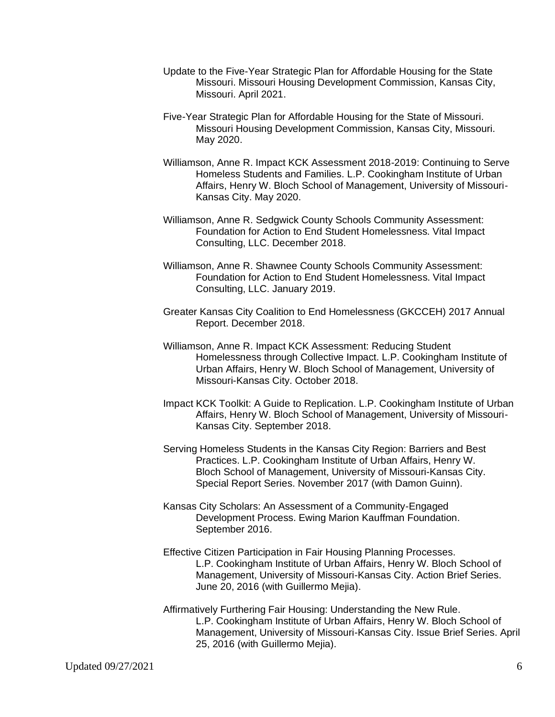- Update to the Five-Year Strategic Plan for Affordable Housing for the State Missouri. Missouri Housing Development Commission, Kansas City, Missouri. April 2021.
- Five-Year Strategic Plan for Affordable Housing for the State of Missouri. Missouri Housing Development Commission, Kansas City, Missouri. May 2020.
- Williamson, Anne R. Impact KCK Assessment 2018-2019: Continuing to Serve Homeless Students and Families. L.P. Cookingham Institute of Urban Affairs, Henry W. Bloch School of Management, University of Missouri-Kansas City. May 2020.
- Williamson, Anne R. Sedgwick County Schools Community Assessment: Foundation for Action to End Student Homelessness. Vital Impact Consulting, LLC. December 2018.
- Williamson, Anne R. Shawnee County Schools Community Assessment: Foundation for Action to End Student Homelessness. Vital Impact Consulting, LLC. January 2019.
- Greater Kansas City Coalition to End Homelessness (GKCCEH) 2017 Annual Report. December 2018.
- Williamson, Anne R. Impact KCK Assessment: Reducing Student Homelessness through Collective Impact. L.P. Cookingham Institute of Urban Affairs, Henry W. Bloch School of Management, University of Missouri-Kansas City. October 2018.
- Impact KCK Toolkit: A Guide to Replication. L.P. Cookingham Institute of Urban Affairs, Henry W. Bloch School of Management, University of Missouri-Kansas City. September 2018.
- Serving Homeless Students in the Kansas City Region: Barriers and Best Practices. L.P. Cookingham Institute of Urban Affairs, Henry W. Bloch School of Management, University of Missouri-Kansas City. Special Report Series. November 2017 (with Damon Guinn).
- Kansas City Scholars: An Assessment of a Community-Engaged Development Process. Ewing Marion Kauffman Foundation. September 2016.
- Effective Citizen Participation in Fair Housing Planning Processes. L.P. Cookingham Institute of Urban Affairs, Henry W. Bloch School of Management, University of Missouri-Kansas City. Action Brief Series. June 20, 2016 (with Guillermo Mejia).
- Affirmatively Furthering Fair Housing: Understanding the New Rule. L.P. Cookingham Institute of Urban Affairs, Henry W. Bloch School of Management, University of Missouri-Kansas City. Issue Brief Series. April 25, 2016 (with Guillermo Mejia).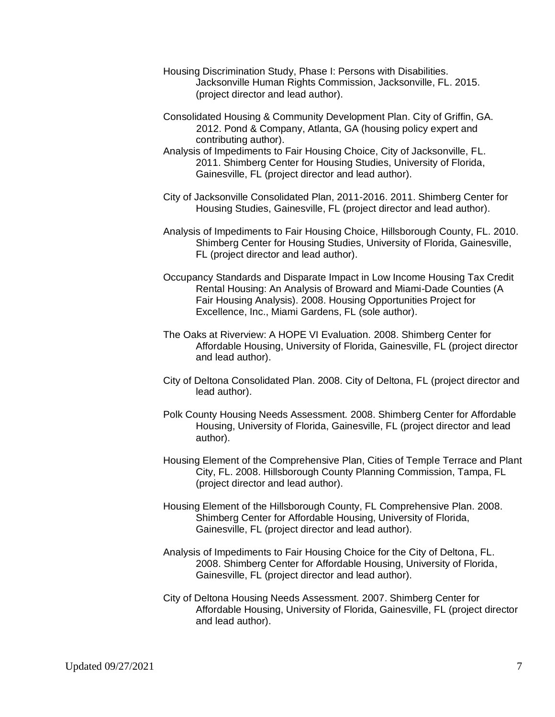- Housing Discrimination Study, Phase I: Persons with Disabilities. Jacksonville Human Rights Commission, Jacksonville, FL. 2015. (project director and lead author).
- Consolidated Housing & Community Development Plan. City of Griffin, GA. 2012. Pond & Company, Atlanta, GA (housing policy expert and contributing author).
- Analysis of Impediments to Fair Housing Choice, City of Jacksonville, FL. 2011. Shimberg Center for Housing Studies, University of Florida, Gainesville, FL (project director and lead author).
- City of Jacksonville Consolidated Plan, 2011-2016. 2011. Shimberg Center for Housing Studies, Gainesville, FL (project director and lead author).
- Analysis of Impediments to Fair Housing Choice, Hillsborough County, FL. 2010. Shimberg Center for Housing Studies, University of Florida, Gainesville, FL (project director and lead author).
- Occupancy Standards and Disparate Impact in Low Income Housing Tax Credit Rental Housing: An Analysis of Broward and Miami-Dade Counties (A Fair Housing Analysis). 2008. Housing Opportunities Project for Excellence, Inc., Miami Gardens, FL (sole author).
- The Oaks at Riverview: A HOPE VI Evaluation*.* 2008. Shimberg Center for Affordable Housing, University of Florida, Gainesville, FL (project director and lead author).
- City of Deltona Consolidated Plan. 2008. City of Deltona, FL (project director and lead author).
- Polk County Housing Needs Assessment*.* 2008. Shimberg Center for Affordable Housing, University of Florida, Gainesville, FL (project director and lead author).
- Housing Element of the Comprehensive Plan, Cities of Temple Terrace and Plant City, FL. 2008. Hillsborough County Planning Commission, Tampa, FL (project director and lead author).
- Housing Element of the Hillsborough County, FL Comprehensive Plan. 2008. Shimberg Center for Affordable Housing, University of Florida, Gainesville, FL (project director and lead author).
- Analysis of Impediments to Fair Housing Choice for the City of Deltona, FL. 2008. Shimberg Center for Affordable Housing, University of Florida, Gainesville, FL (project director and lead author).
- City of Deltona Housing Needs Assessment*.* 2007. Shimberg Center for Affordable Housing, University of Florida, Gainesville, FL (project director and lead author).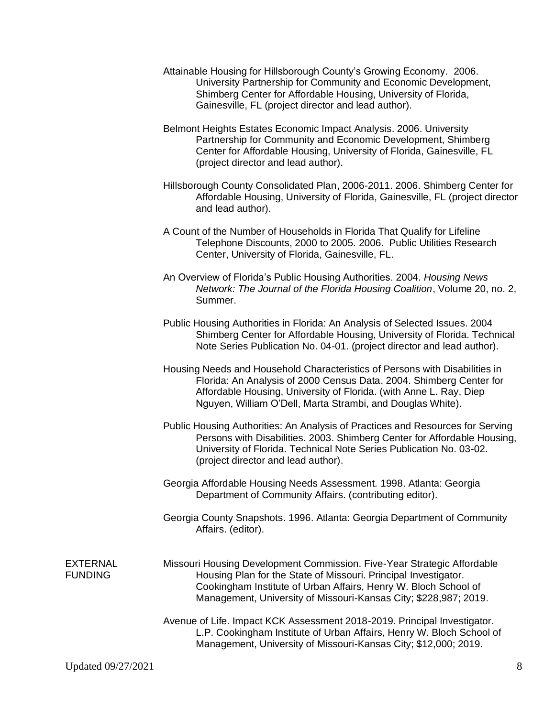- Attainable Housing for Hillsborough County's Growing Economy*.* 2006. University Partnership for Community and Economic Development, Shimberg Center for Affordable Housing, University of Florida, Gainesville, FL (project director and lead author).
- Belmont Heights Estates Economic Impact Analysis. 2006. University Partnership for Community and Economic Development, Shimberg Center for Affordable Housing, University of Florida, Gainesville, FL (project director and lead author).
- Hillsborough County Consolidated Plan, 2006-2011. 2006. Shimberg Center for Affordable Housing, University of Florida, Gainesville, FL (project director and lead author).
- A Count of the Number of Households in Florida That Qualify for Lifeline Telephone Discounts, 2000 to 2005*.* 2006. Public Utilities Research Center, University of Florida, Gainesville, FL.
- An Overview of Florida's Public Housing Authorities. 2004. *Housing News Network: The Journal of the Florida Housing Coalition*, Volume 20, no. 2, Summer.
- Public Housing Authorities in Florida: An Analysis of Selected Issues. 2004 Shimberg Center for Affordable Housing, University of Florida. Technical Note Series Publication No. 04-01. (project director and lead author).
- Housing Needs and Household Characteristics of Persons with Disabilities in Florida: An Analysis of 2000 Census Data. 2004. Shimberg Center for Affordable Housing, University of Florida. (with Anne L. Ray, Diep Nguyen, William O'Dell, Marta Strambi, and Douglas White).
- Public Housing Authorities: An Analysis of Practices and Resources for Serving Persons with Disabilities. 2003. Shimberg Center for Affordable Housing, University of Florida. Technical Note Series Publication No. 03-02. (project director and lead author).
- Georgia Affordable Housing Needs Assessment*.* 1998. Atlanta: Georgia Department of Community Affairs. (contributing editor).
- Georgia County Snapshots. 1996. Atlanta: Georgia Department of Community Affairs. (editor).

- EXTERNAL Missouri Housing Development Commission. Five-Year Strategic Affordable FUNDING Housing Plan for the State of Missouri. Principal Investigator. Cookingham Institute of Urban Affairs, Henry W. Bloch School of Management, University of Missouri-Kansas City; \$228,987; 2019.
	- Avenue of Life. Impact KCK Assessment 2018-2019. Principal Investigator. L.P. Cookingham Institute of Urban Affairs, Henry W. Bloch School of Management, University of Missouri-Kansas City; \$12,000; 2019.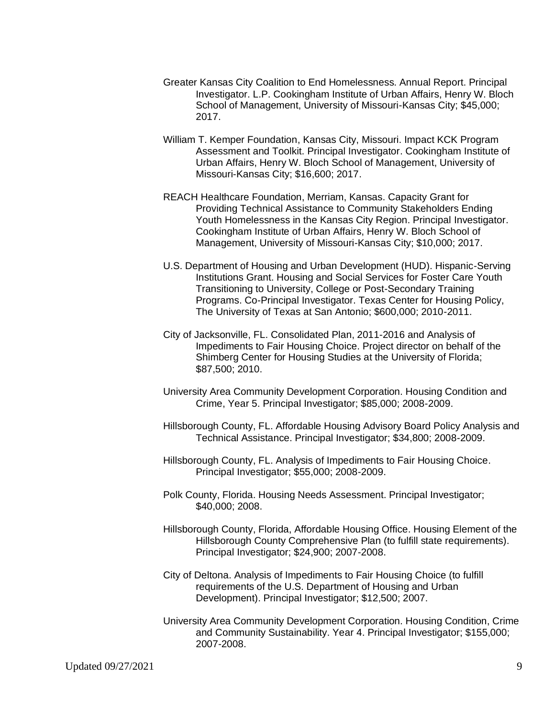- Greater Kansas City Coalition to End Homelessness. Annual Report. Principal Investigator. L.P. Cookingham Institute of Urban Affairs, Henry W. Bloch School of Management, University of Missouri-Kansas City; \$45,000; 2017.
- William T. Kemper Foundation, Kansas City, Missouri. Impact KCK Program Assessment and Toolkit. Principal Investigator. Cookingham Institute of Urban Affairs, Henry W. Bloch School of Management, University of Missouri-Kansas City; \$16,600; 2017.
- REACH Healthcare Foundation, Merriam, Kansas. Capacity Grant for Providing Technical Assistance to Community Stakeholders Ending Youth Homelessness in the Kansas City Region. Principal Investigator. Cookingham Institute of Urban Affairs, Henry W. Bloch School of Management, University of Missouri-Kansas City; \$10,000; 2017.
- U.S. Department of Housing and Urban Development (HUD). Hispanic-Serving Institutions Grant. Housing and Social Services for Foster Care Youth Transitioning to University, College or Post-Secondary Training Programs. Co-Principal Investigator. Texas Center for Housing Policy, The University of Texas at San Antonio; \$600,000; 2010-2011.
- City of Jacksonville, FL. Consolidated Plan, 2011-2016 and Analysis of Impediments to Fair Housing Choice. Project director on behalf of the Shimberg Center for Housing Studies at the University of Florida; \$87,500; 2010.
- University Area Community Development Corporation. Housing Condition and Crime, Year 5. Principal Investigator; \$85,000; 2008-2009.
- Hillsborough County, FL. Affordable Housing Advisory Board Policy Analysis and Technical Assistance. Principal Investigator; \$34,800; 2008-2009.
- Hillsborough County, FL. Analysis of Impediments to Fair Housing Choice. Principal Investigator; \$55,000; 2008-2009.
- Polk County, Florida. Housing Needs Assessment. Principal Investigator; \$40,000; 2008.
- Hillsborough County, Florida, Affordable Housing Office. Housing Element of the Hillsborough County Comprehensive Plan (to fulfill state requirements). Principal Investigator; \$24,900; 2007-2008.
- City of Deltona. Analysis of Impediments to Fair Housing Choice (to fulfill requirements of the U.S. Department of Housing and Urban Development). Principal Investigator; \$12,500; 2007.
- University Area Community Development Corporation. Housing Condition, Crime and Community Sustainability. Year 4. Principal Investigator; \$155,000; 2007-2008.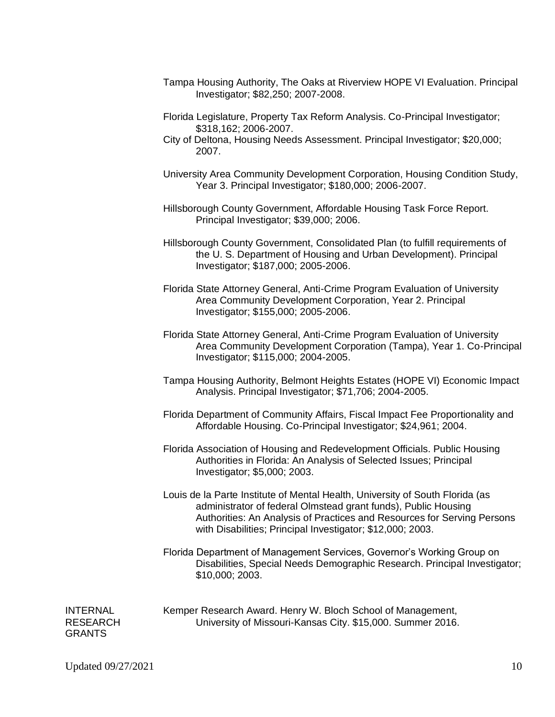- Tampa Housing Authority, The Oaks at Riverview HOPE VI Evaluation. Principal Investigator; \$82,250; 2007-2008.
- Florida Legislature, Property Tax Reform Analysis. Co-Principal Investigator; \$318,162; 2006-2007.
- City of Deltona, Housing Needs Assessment. Principal Investigator; \$20,000; 2007.
- University Area Community Development Corporation, Housing Condition Study, Year 3. Principal Investigator; \$180,000; 2006-2007.
- Hillsborough County Government, Affordable Housing Task Force Report. Principal Investigator; \$39,000; 2006.
- Hillsborough County Government, Consolidated Plan (to fulfill requirements of the U. S. Department of Housing and Urban Development). Principal Investigator; \$187,000; 2005-2006.
- Florida State Attorney General, Anti-Crime Program Evaluation of University Area Community Development Corporation, Year 2. Principal Investigator; \$155,000; 2005-2006.
- Florida State Attorney General, Anti-Crime Program Evaluation of University Area Community Development Corporation (Tampa), Year 1. Co-Principal Investigator; \$115,000; 2004-2005.
- Tampa Housing Authority, Belmont Heights Estates (HOPE VI) Economic Impact Analysis. Principal Investigator; \$71,706; 2004-2005.
- Florida Department of Community Affairs, Fiscal Impact Fee Proportionality and Affordable Housing. Co-Principal Investigator; \$24,961; 2004.
- Florida Association of Housing and Redevelopment Officials. Public Housing Authorities in Florida: An Analysis of Selected Issues; Principal Investigator; \$5,000; 2003.
- Louis de la Parte Institute of Mental Health, University of South Florida (as administrator of federal Olmstead grant funds), Public Housing Authorities: An Analysis of Practices and Resources for Serving Persons with Disabilities; Principal Investigator; \$12,000; 2003.
- Florida Department of Management Services, Governor's Working Group on Disabilities, Special Needs Demographic Research. Principal Investigator; \$10,000; 2003.

GRANTS

INTERNAL Kemper Research Award. Henry W. Bloch School of Management, RESEARCH University of Missouri-Kansas City. \$15,000. Summer 2016.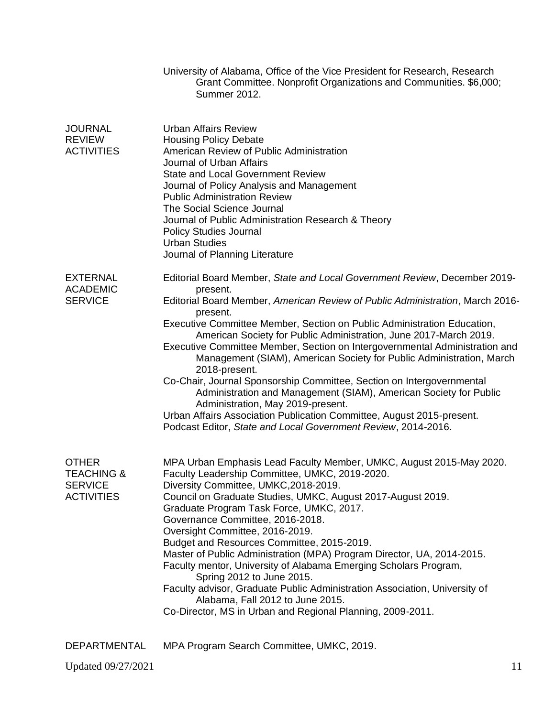|                                                                              | University of Alabama, Office of the Vice President for Research, Research<br>Grant Committee. Nonprofit Organizations and Communities. \$6,000;<br><b>Summer 2012.</b>                                                                                                                                                                                                                                                                                                                                                                                                                                                                                                                                                                                                                                                                 |
|------------------------------------------------------------------------------|-----------------------------------------------------------------------------------------------------------------------------------------------------------------------------------------------------------------------------------------------------------------------------------------------------------------------------------------------------------------------------------------------------------------------------------------------------------------------------------------------------------------------------------------------------------------------------------------------------------------------------------------------------------------------------------------------------------------------------------------------------------------------------------------------------------------------------------------|
| <b>JOURNAL</b><br><b>REVIEW</b><br><b>ACTIVITIES</b>                         | <b>Urban Affairs Review</b><br><b>Housing Policy Debate</b><br>American Review of Public Administration<br>Journal of Urban Affairs<br><b>State and Local Government Review</b><br>Journal of Policy Analysis and Management<br><b>Public Administration Review</b><br>The Social Science Journal<br>Journal of Public Administration Research & Theory<br><b>Policy Studies Journal</b><br><b>Urban Studies</b><br>Journal of Planning Literature                                                                                                                                                                                                                                                                                                                                                                                      |
| <b>EXTERNAL</b><br><b>ACADEMIC</b><br><b>SERVICE</b>                         | Editorial Board Member, State and Local Government Review, December 2019-<br>present.<br>Editorial Board Member, American Review of Public Administration, March 2016-<br>present.<br>Executive Committee Member, Section on Public Administration Education,<br>American Society for Public Administration, June 2017-March 2019.<br>Executive Committee Member, Section on Intergovernmental Administration and<br>Management (SIAM), American Society for Public Administration, March<br>2018-present.<br>Co-Chair, Journal Sponsorship Committee, Section on Intergovernmental<br>Administration and Management (SIAM), American Society for Public<br>Administration, May 2019-present.<br>Urban Affairs Association Publication Committee, August 2015-present.<br>Podcast Editor, State and Local Government Review, 2014-2016. |
| <b>OTHER</b><br><b>TEACHING &amp;</b><br><b>SERVICE</b><br><b>ACTIVITIES</b> | MPA Urban Emphasis Lead Faculty Member, UMKC, August 2015-May 2020.<br>Faculty Leadership Committee, UMKC, 2019-2020.<br>Diversity Committee, UMKC, 2018-2019.<br>Council on Graduate Studies, UMKC, August 2017-August 2019.<br>Graduate Program Task Force, UMKC, 2017.<br>Governance Committee, 2016-2018.<br>Oversight Committee, 2016-2019.<br>Budget and Resources Committee, 2015-2019.<br>Master of Public Administration (MPA) Program Director, UA, 2014-2015.<br>Faculty mentor, University of Alabama Emerging Scholars Program,<br>Spring 2012 to June 2015.<br>Faculty advisor, Graduate Public Administration Association, University of<br>Alabama, Fall 2012 to June 2015.<br>Co-Director, MS in Urban and Regional Planning, 2009-2011.                                                                               |
| DEPARTMENTAL                                                                 | MPA Program Search Committee, UMKC, 2019.                                                                                                                                                                                                                                                                                                                                                                                                                                                                                                                                                                                                                                                                                                                                                                                               |

Updated 09/27/2021 11